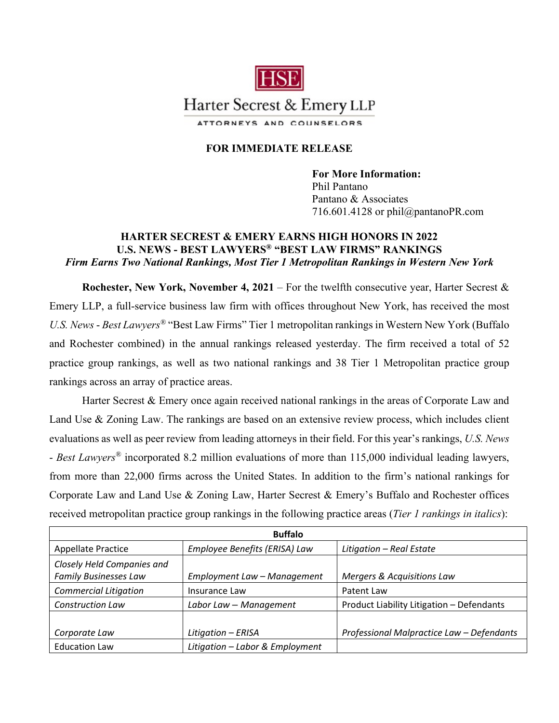

## **FOR IMMEDIATE RELEASE**

**For More Information:**  Phil Pantano Pantano & Associates 716.601.4128 or phil@pantanoPR.com

## **HARTER SECREST & EMERY EARNS HIGH HONORS IN 2022 U.S. NEWS - BEST LAWYERS® "BEST LAW FIRMS" RANKINGS**  *Firm Earns Two National Rankings, Most Tier 1 Metropolitan Rankings in Western New York*

**Rochester, New York, November 4, 2021** – For the twelfth consecutive year, Harter Secrest & Emery LLP, a full-service business law firm with offices throughout New York, has received the most *U.S. News* - *Best Lawyers®* "Best Law Firms" Tier 1 metropolitan rankings in Western New York (Buffalo and Rochester combined) in the annual rankings released yesterday. The firm received a total of 52 practice group rankings, as well as two national rankings and 38 Tier 1 Metropolitan practice group rankings across an array of practice areas.

Harter Secrest & Emery once again received national rankings in the areas of Corporate Law and Land Use & Zoning Law. The rankings are based on an extensive review process, which includes client evaluations as well as peer review from leading attorneys in their field. For this year's rankings, *U.S. News* - *Best Lawyers®* incorporated 8.2 million evaluations of more than 115,000 individual leading lawyers, from more than 22,000 firms across the United States. In addition to the firm's national rankings for Corporate Law and Land Use & Zoning Law, Harter Secrest & Emery's Buffalo and Rochester offices received metropolitan practice group rankings in the following practice areas (*Tier 1 rankings in italics*):

| <b>Buffalo</b>               |                                 |                                           |  |
|------------------------------|---------------------------------|-------------------------------------------|--|
| <b>Appellate Practice</b>    | Employee Benefits (ERISA) Law   | Litigation - Real Estate                  |  |
| Closely Held Companies and   |                                 |                                           |  |
| <b>Family Businesses Law</b> | Employment Law - Management     | Mergers & Acquisitions Law                |  |
| <b>Commercial Litigation</b> | Insurance Law                   | Patent Law                                |  |
| <b>Construction Law</b>      | Labor Law - Management          | Product Liability Litigation - Defendants |  |
|                              |                                 |                                           |  |
| Corporate Law                | Litigation - ERISA              | Professional Malpractice Law - Defendants |  |
| <b>Education Law</b>         | Litigation - Labor & Employment |                                           |  |